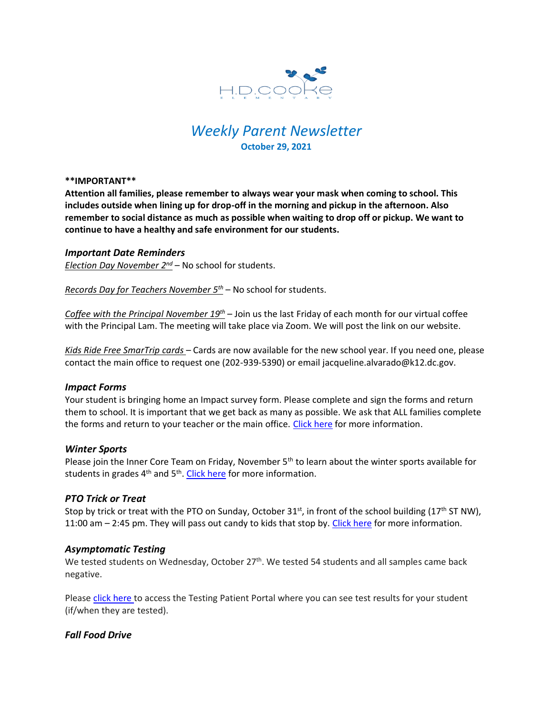

# *Weekly Parent Newsletter* **October 29, 2021**

**\*\*IMPORTANT\*\*** 

**Attention all families, please remember to always wear your mask when coming to school. This includes outside when lining up for drop-off in the morning and pickup in the afternoon. Also remember to social distance as much as possible when waiting to drop off or pickup. We want to continue to have a healthy and safe environment for our students.** 

#### *Important Date Reminders*

*Election Day November 2nd* – No school for students.

*Records Day for Teachers November 5th* – No school for students.

*Coffee with the Principal November 19th* – Join us the last Friday of each month for our virtual coffee with the Principal Lam. The meeting will take place via Zoom. We will post the link on our website.

*Kids Ride Free SmarTrip cards* – Cards are now available for the new school year. If you need one, please contact the main office to request one (202-939-5390) or email jacqueline.alvarado@k12.dc.gov.

#### *Impact Forms*

Your student is bringing home an Impact survey form. Please complete and sign the forms and return them to school. It is important that we get back as many as possible. We ask that ALL families complete the forms and return to your teacher or the main office. [Click here](https://www.hdcookeschool.org/newsletters) for more information.

#### *Winter Sports*

Please join the Inner Core Team on Friday, November 5<sup>th</sup> to learn about the winter sports available for students in grades 4<sup>th</sup> and 5<sup>th</sup>. [Click here](https://www.hdcookeschool.org/newsletters) for more information.

#### *PTO Trick or Treat*

Stop by trick or treat with the PTO on Sunday, October 31<sup>st</sup>, in front of the school building (17<sup>th</sup> ST NW), 11:00 am - 2:45 pm. They will pass out candy to kids that stop by. [Click here](https://www.hdcookeschool.org/newsletters) for more information.

#### *Asymptomatic Testing*

We tested students on Wednesday, October  $27<sup>th</sup>$ . We tested 54 students and all samples came back negative.

Please click [here](https://shieldt3k12portal.pointnclick.com/login_login.aspx) to access the Testing Patient Portal where you can see test results for your student (if/when they are tested).

#### *Fall Food Drive*